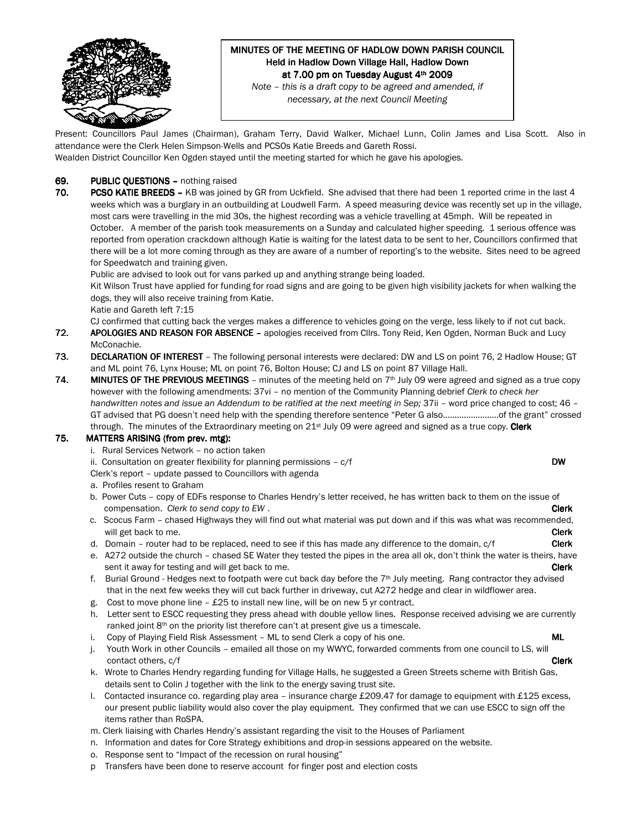

# MINUTES OF THE MEETING OF HADLOW DOWN PARISH COUNCIL Held in Hadlow Down Village Hall, Hadlow Down at 7.00 pm on Tuesday August 4th 2009

Note – this is a draft copy to be agreed and amended, if necessary, at the next Council Meeting

Present: Councillors Paul James (Chairman), Graham Terry, David Walker, Michael Lunn, Colin James and Lisa Scott. Also in attendance were the Clerk Helen Simpson-Wells and PCSOs Katie Breeds and Gareth Rossi.

Wealden District Councillor Ken Ogden stayed until the meeting started for which he gave his apologies.

### 69. PUBLIC QUESTIONS – nothing raised

70. PCSO KATIE BREEDS - KB was joined by GR from Uckfield. She advised that there had been 1 reported crime in the last 4 weeks which was a burglary in an outbuilding at Loudwell Farm. A speed measuring device was recently set up in the village, most cars were travelling in the mid 30s, the highest recording was a vehicle travelling at 45mph. Will be repeated in October. A member of the parish took measurements on a Sunday and calculated higher speeding. 1 serious offence was reported from operation crackdown although Katie is waiting for the latest data to be sent to her, Councillors confirmed that there will be a lot more coming through as they are aware of a number of reporting's to the website. Sites need to be agreed for Speedwatch and training given.

Public are advised to look out for vans parked up and anything strange being loaded.

Kit Wilson Trust have applied for funding for road signs and are going to be given high visibility jackets for when walking the dogs, they will also receive training from Katie.

Katie and Gareth left 7:15

CJ confirmed that cutting back the verges makes a difference to vehicles going on the verge, less likely to if not cut back.

- 72. APOLOGIES AND REASON FOR ABSENCE apologies received from Cllrs. Tony Reid, Ken Ogden, Norman Buck and Lucy McConachie.
- 73. DECLARATION OF INTEREST The following personal interests were declared: DW and LS on point 76, 2 Hadlow House; GT and ML point 76, Lynx House; ML on point 76, Bolton House; CJ and LS on point 87 Village Hall.
- 74. MINUTES OF THE PREVIOUS MEETINGS minutes of the meeting held on  $7<sup>th</sup>$  July 09 were agreed and signed as a true copy however with the following amendments: 37vi – no mention of the Community Planning debrief Clerk to check her handwritten notes and issue an Addendum to be ratified at the next meeting in Sep; 37ii – word price changed to cost; 46 – GT advised that PG doesn't need help with the spending therefore sentence "Peter G also……………………of the grant" crossed through. The minutes of the Extraordinary meeting on 21<sup>st</sup> July 09 were agreed and signed as a true copy. Clerk

#### 75. MATTERS ARISING (from prev. mtg):

- i. Rural Services Network no action taken
- ii. Consultation on greater flexibility for planning permissions  $c/f$  DW

Clerk's report – update passed to Councillors with agenda

- a. Profiles resent to Graham
- b. Power Cuts copy of EDFs response to Charles Hendry's letter received, he has written back to them on the issue of compensation. Clerk to send copy to EW.
- c. Scocus Farm chased Highways they will find out what material was put down and if this was what was recommended, will get back to me. **Clerk**
- d. Domain router had to be replaced, need to see if this has made any difference to the domain,  $c/f$  Clerk
- e. A272 outside the church chased SE Water they tested the pipes in the area all ok, don't think the water is theirs, have sent it away for testing and will get back to me. Clerk to me will be a sent of the clerk clerk clerk clerk
- f. Burial Ground Hedges next to footpath were cut back day before the  $7<sup>th</sup>$  July meeting. Rang contractor they advised that in the next few weeks they will cut back further in driveway, cut A272 hedge and clear in wildflower area.
- g. Cost to move phone line  $-$  £25 to install new line, will be on new 5 yr contract.
- h. Letter sent to ESCC requesting they press ahead with double yellow lines. Response received advising we are currently ranked joint  $8<sup>th</sup>$  on the priority list therefore can't at present give us a timescale.
- i. Copy of Playing Field Risk Assessment ML to send Clerk a copy of his one. The manner of the must consider
- j. Youth Work in other Councils emailed all those on my WWYC, forwarded comments from one council to LS, will contact others,  $c/f$  **Clerk**
- k. Wrote to Charles Hendry regarding funding for Village Halls, he suggested a Green Streets scheme with British Gas, details sent to Colin J together with the link to the energy saving trust site.
- l. Contacted insurance co. regarding play area insurance charge £209.47 for damage to equipment with £125 excess, our present public liability would also cover the play equipment. They confirmed that we can use ESCC to sign off the items rather than RoSPA.
- m. Clerk liaising with Charles Hendry's assistant regarding the visit to the Houses of Parliament
- n. Information and dates for Core Strategy exhibitions and drop-in sessions appeared on the website.
- o. Response sent to "Impact of the recession on rural housing"
- p Transfers have been done to reserve account for finger post and election costs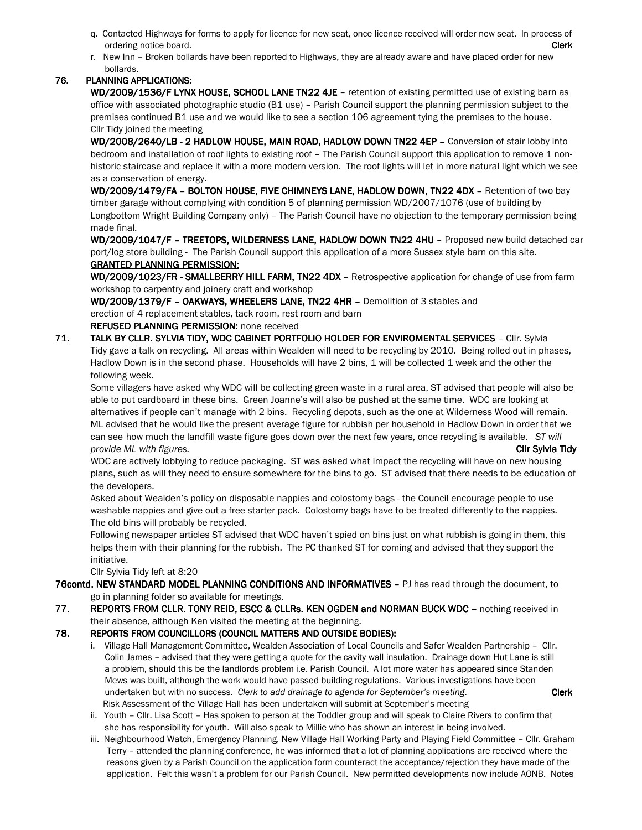- q. Contacted Highways for forms to apply for licence for new seat, once licence received will order new seat. In process of ordering notice board. **Clerk**
- r. New Inn Broken bollards have been reported to Highways, they are already aware and have placed order for new bollards.

## 76. PLANNING APPLICATIONS:

WD/2009/1536/F LYNX HOUSE, SCHOOL LANE TN22 4JE - retention of existing permitted use of existing barn as office with associated photographic studio (B1 use) – Parish Council support the planning permission subject to the premises continued B1 use and we would like to see a section 106 agreement tying the premises to the house. Cllr Tidy joined the meeting

WD/2008/2640/LB - 2 HADLOW HOUSE, MAIN ROAD, HADLOW DOWN TN22 4EP - Conversion of stair lobby into bedroom and installation of roof lights to existing roof – The Parish Council support this application to remove 1 nonhistoric staircase and replace it with a more modern version. The roof lights will let in more natural light which we see as a conservation of energy.

WD/2009/1479/FA - BOLTON HOUSE, FIVE CHIMNEYS LANE, HADLOW DOWN, TN22 4DX - Retention of two bay timber garage without complying with condition 5 of planning permission WD/2007/1076 (use of building by Longbottom Wright Building Company only) – The Parish Council have no objection to the temporary permission being made final.

WD/2009/1047/F - TREETOPS, WILDERNESS LANE, HADLOW DOWN TN22 4HU - Proposed new build detached car port/log store building - The Parish Council support this application of a more Sussex style barn on this site. **GRANTED PLANNING PERMISSION:** 

WD/2009/1023/FR - SMALLBERRY HILL FARM, TN22 4DX - Retrospective application for change of use from farm workshop to carpentry and joinery craft and workshop

WD/2009/1379/F – OAKWAYS, WHEELERS LANE, TN22 4HR – Demolition of 3 stables and erection of 4 replacement stables, tack room, rest room and barn

## **REFUSED PLANNING PERMISSION:** none received

71. TALK BY CLLR. SYLVIA TIDY, WDC CABINET PORTFOLIO HOLDER FOR ENVIROMENTAL SERVICES - Cllr. Sylvia Tidy gave a talk on recycling. All areas within Wealden will need to be recycling by 2010. Being rolled out in phases, Hadlow Down is in the second phase. Households will have 2 bins, 1 will be collected 1 week and the other the following week.

 Some villagers have asked why WDC will be collecting green waste in a rural area, ST advised that people will also be able to put cardboard in these bins. Green Joanne's will also be pushed at the same time. WDC are looking at alternatives if people can't manage with 2 bins. Recycling depots, such as the one at Wilderness Wood will remain. ML advised that he would like the present average figure for rubbish per household in Hadlow Down in order that we can see how much the landfill waste figure goes down over the next few years, once recycling is available. ST will provide ML with figures. Click the club of the club of the club of the club of the club Sylvia Tidy club of the club of the club of the club of the club of the club of the club of the club of the club of the club of the cl

WDC are actively lobbying to reduce packaging. ST was asked what impact the recycling will have on new housing plans, such as will they need to ensure somewhere for the bins to go. ST advised that there needs to be education of the developers.

Asked about Wealden's policy on disposable nappies and colostomy bags - the Council encourage people to use washable nappies and give out a free starter pack. Colostomy bags have to be treated differently to the nappies. The old bins will probably be recycled.

Following newspaper articles ST advised that WDC haven't spied on bins just on what rubbish is going in them, this helps them with their planning for the rubbish. The PC thanked ST for coming and advised that they support the initiative.

Cllr Sylvia Tidy left at 8:20

76contd. NEW STANDARD MODEL PLANNING CONDITIONS AND INFORMATIVES - PJ has read through the document, to

go in planning folder so available for meetings.

77. REPORTS FROM CLLR. TONY REID, ESCC & CLLRs. KEN OGDEN and NORMAN BUCK WDC - nothing received in their absence, although Ken visited the meeting at the beginning.

## 78. REPORTS FROM COUNCILLORS (COUNCIL MATTERS AND OUTSIDE BODIES):

- i. Village Hall Management Committee, Wealden Association of Local Councils and Safer Wealden Partnership Cllr. Colin James – advised that they were getting a quote for the cavity wall insulation. Drainage down Hut Lane is still a problem, should this be the landlords problem i.e. Parish Council. A lot more water has appeared since Standen Mews was built, although the work would have passed building regulations. Various investigations have been undertaken but with no success. Clerk to add drainage to agenda for September's meeting. Clerk Risk Assessment of the Village Hall has been undertaken will submit at September's meeting
- ii. Youth Cllr. Lisa Scott Has spoken to person at the Toddler group and will speak to Claire Rivers to confirm that she has responsibility for youth. Will also speak to Millie who has shown an interest in being involved.
- iii. Neighbourhood Watch, Emergency Planning, New Village Hall Working Party and Playing Field Committee Cllr. Graham Terry – attended the planning conference, he was informed that a lot of planning applications are received where the reasons given by a Parish Council on the application form counteract the acceptance/rejection they have made of the application. Felt this wasn't a problem for our Parish Council. New permitted developments now include AONB. Notes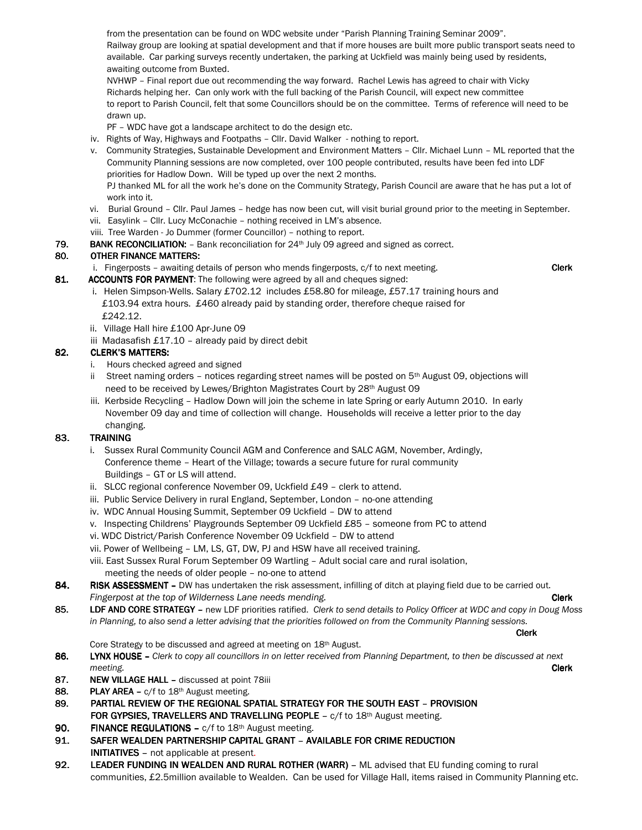from the presentation can be found on WDC website under "Parish Planning Training Seminar 2009". Railway group are looking at spatial development and that if more houses are built more public transport seats need to available. Car parking surveys recently undertaken, the parking at Uckfield was mainly being used by residents, awaiting outcome from Buxted.

NVHWP – Final report due out recommending the way forward. Rachel Lewis has agreed to chair with Vicky Richards helping her. Can only work with the full backing of the Parish Council, will expect new committee to report to Parish Council, felt that some Councillors should be on the committee. Terms of reference will need to be drawn up.

PF – WDC have got a landscape architect to do the design etc.

iv. Rights of Way, Highways and Footpaths – Cllr. David Walker - nothing to report.

v. Community Strategies, Sustainable Development and Environment Matters – Cllr. Michael Lunn – ML reported that the Community Planning sessions are now completed, over 100 people contributed, results have been fed into LDF priorities for Hadlow Down. Will be typed up over the next 2 months. PJ thanked ML for all the work he's done on the Community Strategy, Parish Council are aware that he has put a lot of work into it.

- vi. Burial Ground Cllr. Paul James hedge has now been cut, will visit burial ground prior to the meeting in September.
- vii. Easylink Cllr. Lucy McConachie nothing received in LM's absence.
- viii. Tree Warden Jo Dummer (former Councillor) nothing to report.
- 79. BANK RECONCILIATION:  $-$  Bank reconciliation for 24<sup>th</sup> July 09 agreed and signed as correct.

#### 80. OTHER FINANCE MATTERS:

i. Fingerposts – awaiting details of person who mends fingerposts,  $c/f$  to next meeting.

- 81. ACCOUNTS FOR PAYMENT: The following were agreed by all and cheques signed:
	- i. Helen Simpson-Wells. Salary £702.12 includes £58.80 for mileage, £57.17 training hours and £103.94 extra hours. £460 already paid by standing order, therefore cheque raised for £242.12.
	- ii. Village Hall hire £100 Apr-June 09
	- iii Madasafish £17.10 already paid by direct debit

### 82. CLERK'S MATTERS:

- i. Hours checked agreed and signed
- ii Street naming orders notices regarding street names will be posted on  $5<sup>th</sup>$  August 09, objections will need to be received by Lewes/Brighton Magistrates Court by 28th August 09
- iii. Kerbside Recycling Hadlow Down will join the scheme in late Spring or early Autumn 2010. In early November 09 day and time of collection will change. Households will receive a letter prior to the day changing.

## 83. TRAINING

- i. Sussex Rural Community Council AGM and Conference and SALC AGM, November, Ardingly, Conference theme – Heart of the Village; towards a secure future for rural community Buildings – GT or LS will attend.
- ii. SLCC regional conference November 09, Uckfield £49 clerk to attend.
- iii. Public Service Delivery in rural England, September, London no-one attending
- iv. WDC Annual Housing Summit, September 09 Uckfield DW to attend
- v. Inspecting Childrens' Playgrounds September 09 Uckfield £85 someone from PC to attend
- vi. WDC District/Parish Conference November 09 Uckfield DW to attend
- vii. Power of Wellbeing LM, LS, GT, DW, PJ and HSW have all received training.
- viii. East Sussex Rural Forum September 09 Wartling Adult social care and rural isolation, meeting the needs of older people – no-one to attend
- 84. RISK ASSESSMENT DW has undertaken the risk assessment, infilling of ditch at playing field due to be carried out. Fingerpost at the top of Wilderness Lane needs mending. The contract of the contract of the Clerk
- 85. LDF AND CORE STRATEGY new LDF priorities ratified. Clerk to send details to Policy Officer at WDC and copy in Doug Moss in Planning, to also send a letter advising that the priorities followed on from the Community Planning sessions.

Clerk

Core Strategy to be discussed and agreed at meeting on 18th August.

- 86. LYNX HOUSE Clerk to copy all councillors in on letter received from Planning Department, to then be discussed at next meeting. **Clerk** the contract of the contract of the contract of the contract of the contract of the contract of the contract of the contract of the contract of the contract of the contract of the contract of the contract
- 87. NEW VILLAGE HALL discussed at point 78iii
- **88.** PLAY AREA  $c/f$  to 18<sup>th</sup> August meeting.
- 89. PARTIAL REVIEW OF THE REGIONAL SPATIAL STRATEGY FOR THE SOUTH EAST PROVISION FOR GYPSIES, TRAVELLERS AND TRAVELLING PEOPLE –  $c/f$  to 18<sup>th</sup> August meeting.
- 90. FINANCE REGULATIONS  $c/f$  to 18<sup>th</sup> August meeting.
- 91. SAFER WEALDEN PARTNERSHIP CAPITAL GRANT AVAILABLE FOR CRIME REDUCTION **INITIATIVES** – not applicable at present.
- 92. LEADER FUNDING IN WEALDEN AND RURAL ROTHER (WARR) ML advised that EU funding coming to rural communities, £2.5million available to Wealden. Can be used for Village Hall, items raised in Community Planning etc.